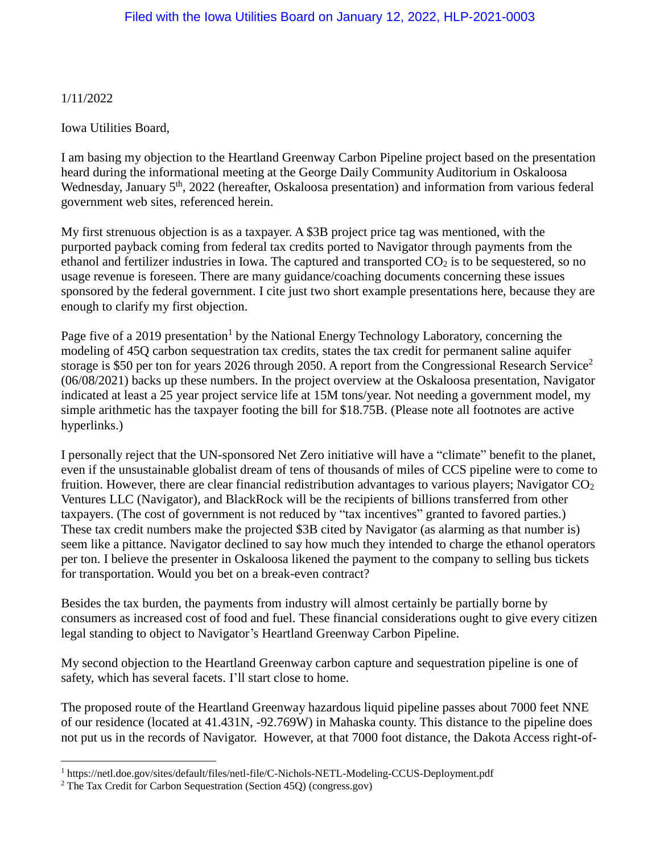1/11/2022

 $\overline{a}$ 

Iowa Utilities Board,

I am basing my objection to the Heartland Greenway Carbon Pipeline project based on the presentation heard during the informational meeting at the George Daily Community Auditorium in Oskaloosa Wednesday, January 5<sup>th</sup>, 2022 (hereafter, Oskaloosa presentation) and information from various federal government web sites, referenced herein.

My first strenuous objection is as a taxpayer. A \$3B project price tag was mentioned, with the purported payback coming from federal tax credits ported to Navigator through payments from the ethanol and fertilizer industries in Iowa. The captured and transported  $CO<sub>2</sub>$  is to be sequestered, so no usage revenue is foreseen. There are many guidance/coaching documents concerning these issues sponsored by the federal government. I cite just two short example presentations here, because they are enough to clarify my first objection.

Page five of a 2019 presentation<sup>1</sup> by the National Energy Technology Laboratory, concerning the modeling of 45Q carbon sequestration tax credits, states the tax credit for permanent saline aquifer storage is \$50 per ton for years 2026 through 2050. A report from the Congressional Research Service<sup>2</sup> (06/08/2021) backs up these numbers. In the project overview at the Oskaloosa presentation, Navigator indicated at least a 25 year project service life at 15M tons/year. Not needing a government model, my simple arithmetic has the taxpayer footing the bill for \$18.75B. (Please note all footnotes are active hyperlinks.)

I personally reject that the UN-sponsored Net Zero initiative will have a "climate" benefit to the planet, even if the unsustainable globalist dream of tens of thousands of miles of CCS pipeline were to come to fruition. However, there are clear financial redistribution advantages to various players; Navigator  $CO<sub>2</sub>$ Ventures LLC (Navigator), and BlackRock will be the recipients of billions transferred from other taxpayers. (The cost of government is not reduced by "tax incentives" granted to favored parties.) These tax credit numbers make the projected \$3B cited by Navigator (as alarming as that number is) seem like a pittance. Navigator declined to say how much they intended to charge the ethanol operators per ton. I believe the presenter in Oskaloosa likened the payment to the company to selling bus tickets for transportation. Would you bet on a break-even contract?

Besides the tax burden, the payments from industry will almost certainly be partially borne by consumers as increased cost of food and fuel. These financial considerations ought to give every citizen legal standing to object to Navigator's Heartland Greenway Carbon Pipeline.

My second objection to the Heartland Greenway carbon capture and sequestration pipeline is one of safety, which has several facets. I'll start close to home.

The proposed route of the Heartland Greenway hazardous liquid pipeline passes about 7000 feet NNE of our residence (located at 41.431N, -92.769W) in Mahaska county. This distance to the pipeline does not put us in the records of Navigator. However, at that 7000 foot distance, the Dakota Access right-of-

<sup>1</sup> <https://netl.doe.gov/sites/default/files/netl-file/C-Nichols-NETL-Modeling-CCUS-Deployment.pdf>

<sup>2</sup> [The Tax Credit for Carbon Sequestration \(Section 45Q\) \(congress.gov\)](https://crsreports.congress.gov/product/pdf/IF/IF11455)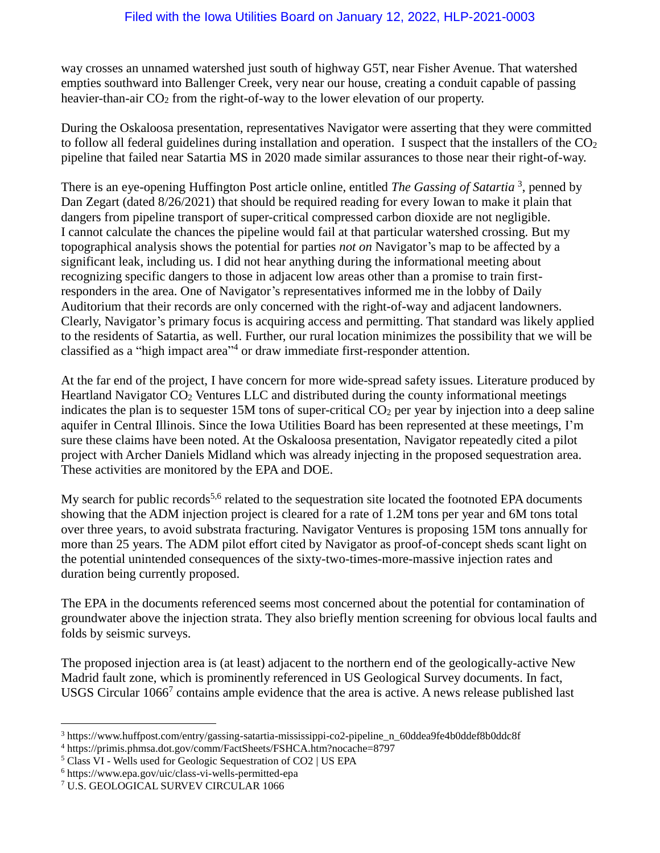way crosses an unnamed watershed just south of highway G5T, near Fisher Avenue. That watershed empties southward into Ballenger Creek, very near our house, creating a conduit capable of passing heavier-than-air  $CO<sub>2</sub>$  from the right-of-way to the lower elevation of our property.

During the Oskaloosa presentation, representatives Navigator were asserting that they were committed to follow all federal guidelines during installation and operation. I suspect that the installers of the  $CO<sub>2</sub>$ pipeline that failed near Satartia MS in 2020 made similar assurances to those near their right-of-way.

There is an eye-opening Huffington Post article online, entitled *The Gassing of Satartia* 3 , penned by Dan Zegart (dated 8/26/2021) that should be required reading for every Iowan to make it plain that dangers from pipeline transport of super-critical compressed carbon dioxide are not negligible. I cannot calculate the chances the pipeline would fail at that particular watershed crossing. But my topographical analysis shows the potential for parties *not on* Navigator's map to be affected by a significant leak, including us. I did not hear anything during the informational meeting about recognizing specific dangers to those in adjacent low areas other than a promise to train firstresponders in the area. One of Navigator's representatives informed me in the lobby of Daily Auditorium that their records are only concerned with the right-of-way and adjacent landowners. Clearly, Navigator's primary focus is acquiring access and permitting. That standard was likely applied to the residents of Satartia, as well. Further, our rural location minimizes the possibility that we will be classified as a "high impact area" 4 or draw immediate first-responder attention.

At the far end of the project, I have concern for more wide-spread safety issues. Literature produced by Heartland Navigator  $CO<sub>2</sub>$  Ventures LLC and distributed during the county informational meetings indicates the plan is to sequester 15M tons of super-critical  $CO<sub>2</sub>$  per year by injection into a deep saline aquifer in Central Illinois. Since the Iowa Utilities Board has been represented at these meetings, I'm sure these claims have been noted. At the Oskaloosa presentation, Navigator repeatedly cited a pilot project with Archer Daniels Midland which was [already injecting in the proposed](https://www.netl.doe.gov/project-information?k=FE0026517) sequestration area. These activities are monitored by the EPA and DOE.

My search for public records<sup>5,6</sup> related to the sequestration site located the footnoted EPA documents showing that the ADM injection project is cleared for a rate of 1.2M tons per year and 6M tons total over three years, to avoid substrata fracturing. Navigator Ventures is proposing 15M tons annually for more than 25 years. The ADM pilot effort cited by Navigator as proof-of-concept sheds scant light on the potential unintended consequences of the sixty-two-times-more-massive injection rates and duration being currently proposed.

The EPA in the documents referenced seems most concerned about the potential for contamination of groundwater above the injection strata. They also briefly mention screening for obvious local faults and folds by seismic surveys.

The proposed injection area is (at least) adjacent to the northern end of the geologically-active New Madrid fault zone, which is prominently referenced in US Geological Survey documents. In fact, USGS Circular  $1066<sup>7</sup>$  contains ample evidence that the area is active. A news release published last

 $\overline{a}$ 

<sup>3</sup> [https://www.huffpost.com/entry/gassing-satartia-mississippi-co2-pipeline\\_n\\_60ddea9fe4b0ddef8b0ddc8f](https://www.huffpost.com/entry/gassing-satartia-mississippi-co2-pipeline_n_60ddea9fe4b0ddef8b0ddc8f)

<sup>4</sup> <https://primis.phmsa.dot.gov/comm/FactSheets/FSHCA.htm?nocache=8797>

<sup>5</sup> Class VI - [Wells used for Geologic Sequestration of CO2 | US EPA](https://www.epa.gov/uic/class-vi-wells-used-geologic-sequestration-co2)

<sup>6</sup> <https://www.epa.gov/uic/class-vi-wells-permitted-epa>

<sup>7</sup> [U.S. GEOLOGICAL SURVEV CIRCULAR 1066](https://pubs.er.usgs.gov/publication/cir1066)